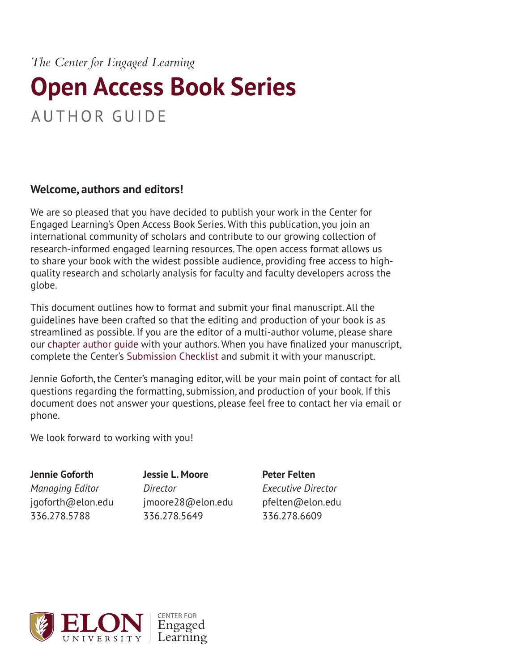*The Center for Engaged Learning*

# **Open Access Book Series** AUTHOR GUIDE

## **Welcome, authors and editors!**

We are so pleased that you have decided to publish your work in the Center for Engaged Learning's Open Access Book Series. With this publication, you join an international community of scholars and contribute to our growing collection of research-informed engaged learning resources. The open access format allows us to share your book with the widest possible audience, providing free access to highquality research and scholarly analysis for faculty and faculty developers across the globe.

This document outlines how to format and submit your final manuscript. All the guidelines have been crafted so that the editing and production of your book is as streamlined as possible. If you are the editor of a multi-author volume, please share our [chapter author guide](https://www.centerforengagedlearning.org/publications/open-access-book-series/author-guide/) with your authors. When you have finalized your manuscript, complete the Center's [Submission Checklist](https://www.centerforengagedlearning.org/wp-content/uploads/2019/06/oabooks_submissionchecklist.pdf) and submit it with your manuscript.

Jennie Goforth, the Center's managing editor, will be your main point of contact for all questions regarding the formatting, submission, and production of your book. If this document does not answer your questions, please feel free to contact her via email or phone.

We look forward to working with you!

**Jennie Goforth** *Managing Editor* jgoforth@elon.edu 336.278.5788

**Jessie L. Moore** *Director* jmoore28@elon.edu 336.278.5649

**Peter Felten** *Executive Director* pfelten@elon.edu 336.278.6609

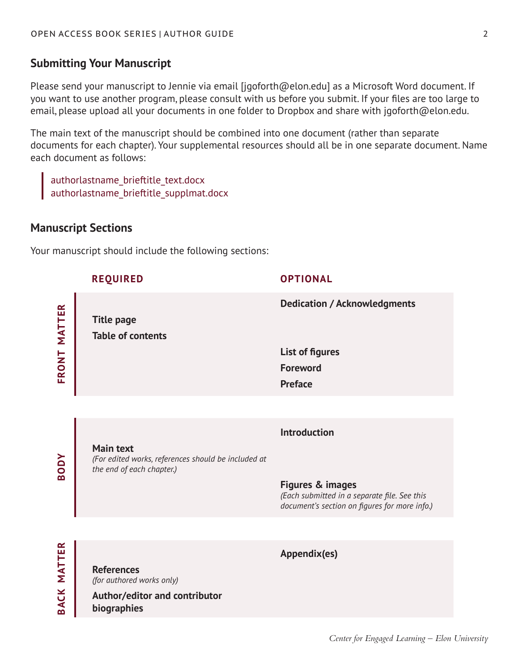## **Submitting Your Manuscript**

Please send your manuscript to Jennie via email [jgoforth@elon.edu] as a Microsoft Word document. If you want to use another program, please consult with us before you submit. If your files are too large to email, please upload all your documents in one folder to Dropbox and share with jgoforth@elon.edu.

The main text of the manuscript should be combined into one document (rather than separate documents for each chapter). Your supplemental resources should all be in one separate document. Name each document as follows:

authorlastname\_brieftitle\_text.docx authorlastname\_brieftitle\_supplmat.docx

## **Manuscript Sections**

Your manuscript should include the following sections:

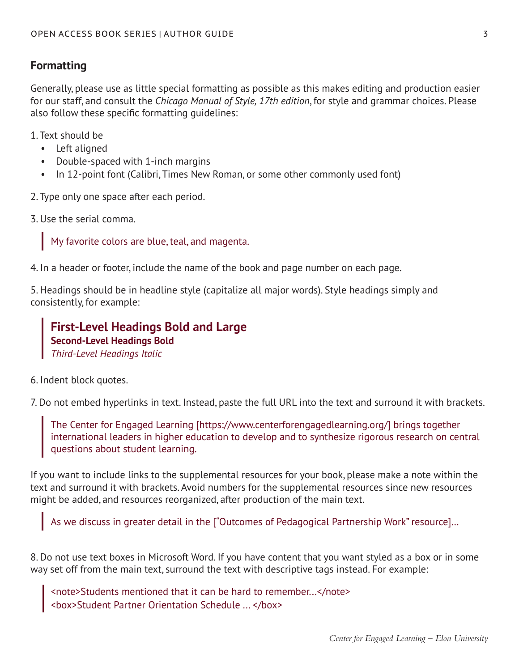## **Formatting**

Generally, please use as little special formatting as possible as this makes editing and production easier for our staff, and consult the *Chicago Manual of Style, 17th edition*, for style and grammar choices. Please also follow these specific formatting guidelines:

1. Text should be

- Left aligned
- Double-spaced with 1-inch margins
- In 12-point font (Calibri, Times New Roman, or some other commonly used font)

2. Type only one space after each period.

3. Use the serial comma.

My favorite colors are blue, teal, and magenta.

4. In a header or footer, include the name of the book and page number on each page.

5. Headings should be in headline style (capitalize all major words). Style headings simply and consistently, for example:

**First-Level Headings Bold and Large Second-Level Headings Bold** *Third-Level Headings Italic*

6. Indent block quotes.

7. Do not embed hyperlinks in text. Instead, paste the full URL into the text and surround it with brackets.

The Center for Engaged Learning [https://www.centerforengagedlearning.org/] brings together international leaders in higher education to develop and to synthesize rigorous research on central questions about student learning.

If you want to include links to the supplemental resources for your book, please make a note within the text and surround it with brackets. Avoid numbers for the supplemental resources since new resources might be added, and resources reorganized, after production of the main text.

As we discuss in greater detail in the ["Outcomes of Pedagogical Partnership Work" resource]…

8. Do not use text boxes in Microsoft Word. If you have content that you want styled as a box or in some way set off from the main text, surround the text with descriptive tags instead. For example:

<note>Students mentioned that it can be hard to remember...</note> <box>Student Partner Orientation Schedule ... </box>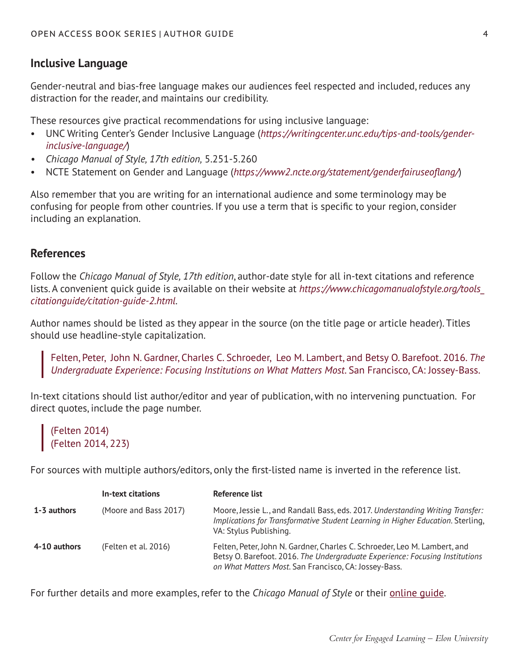## **Inclusive Language**

Gender-neutral and bias-free language makes our audiences feel respected and included, reduces any distraction for the reader, and maintains our credibility.

These resources give practical recommendations for using inclusive language:

- UNC Writing Center's Gender Inclusive Language (*[https://writingcenter.unc.edu/tips-and-tools/gender](https://writingcenter.unc.edu/tips-and-tools/gender-inclusive-language/)[inclusive-language/](https://writingcenter.unc.edu/tips-and-tools/gender-inclusive-language/)*)
- *• Chicago Manual of Style, 17th edition,* 5.251-5.260
- NCTE Statement on Gender and Language (*<https://www2.ncte.org/statement/genderfairuseoflang/>*)

Also remember that you are writing for an international audience and some terminology may be confusing for people from other countries. If you use a term that is specific to your region, consider including an explanation.

#### **References**

Follow the *Chicago Manual of Style, 17th edition*, author-date style for all in-text citations and reference lists. A convenient quick guide is available on their website at *[https://www.chicagomanualofstyle.org/tools\\_](https://www.chicagomanualofstyle.org/tools_citationguide/citation-guide-2.html) [citationguide/citation-guide-2.html](https://www.chicagomanualofstyle.org/tools_citationguide/citation-guide-2.html).*

Author names should be listed as they appear in the source (on the title page or article header). Titles should use headline-style capitalization.

Felten, Peter, John N. Gardner, Charles C. Schroeder, Leo M. Lambert, and Betsy O. Barefoot. 2016. *The Undergraduate Experience: Focusing Institutions on What Matters Most*. San Francisco, CA: Jossey-Bass.

In-text citations should list author/editor and year of publication, with no intervening punctuation. For direct quotes, include the page number.

(Felten 2014) (Felten 2014, 223)

For sources with multiple authors/editors, only the first-listed name is inverted in the reference list.

|              | In-text citations     | Reference list                                                                                                                                                                                                     |
|--------------|-----------------------|--------------------------------------------------------------------------------------------------------------------------------------------------------------------------------------------------------------------|
| 1-3 authors  | (Moore and Bass 2017) | Moore, Jessie L., and Randall Bass, eds. 2017. Understanding Writing Transfer:<br>Implications for Transformative Student Learning in Higher Education. Sterling,<br>VA: Stylus Publishing.                        |
| 4-10 authors | (Felten et al. 2016)  | Felten, Peter, John N. Gardner, Charles C. Schroeder, Leo M. Lambert, and<br>Betsy O. Barefoot. 2016. The Undergraduate Experience: Focusing Institutions<br>on What Matters Most. San Francisco, CA: Jossey-Bass. |

For further details and more examples, refer to the *Chicago Manual of Style* or their [online guide](https://www.chicagomanualofstyle.org/tools_citationguide/citation-guide-2.html).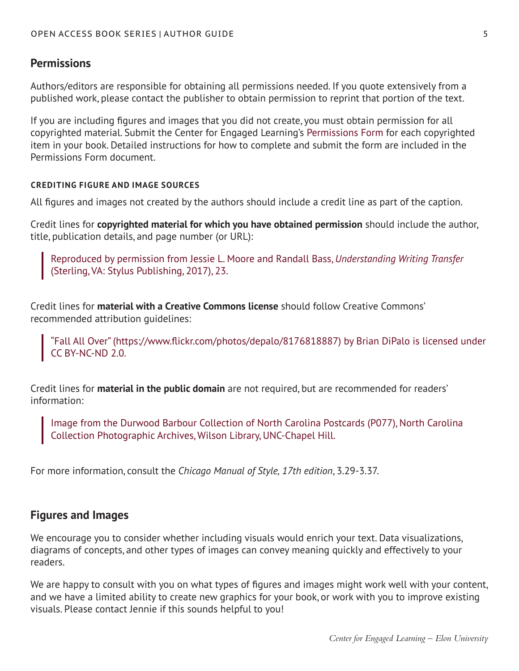## **Permissions**

Authors/editors are responsible for obtaining all permissions needed. If you quote extensively from a published work, please contact the publisher to obtain permission to reprint that portion of the text.

If you are including figures and images that you did not create, you must obtain permission for all copyrighted material. Submit the Center for Engaged Learning's [Permissions Form](https://www.centerforengagedlearning.org/wp-content/uploads/2019/06/permissions_form.pdf) for each copyrighted item in your book. Detailed instructions for how to complete and submit the form are included in the Permissions Form document.

#### **CREDITING FIGURE AND IMAGE SOURCES**

All figures and images not created by the authors should include a credit line as part of the caption.

Credit lines for **copyrighted material for which you have obtained permission** should include the author, title, publication details, and page number (or URL):

Reproduced by permission from Jessie L. Moore and Randall Bass, *Understanding Writing Transfer* (Sterling, VA: Stylus Publishing, 2017), 23.

Credit lines for **material with a Creative Commons license** should follow Creative Commons' recommended attribution guidelines:

"Fall All Over" (https://www.flickr.com/photos/depalo/8176818887) by Brian DiPalo is licensed under CC BY-NC-ND 2.0.

Credit lines for **material in the public domain** are not required, but are recommended for readers' information:

Image from the Durwood Barbour Collection of North Carolina Postcards (P077), North Carolina Collection Photographic Archives, Wilson Library, UNC-Chapel Hill.

For more information, consult the *Chicago Manual of Style, 17th edition*, 3.29-3.37.

### **Figures and Images**

We encourage you to consider whether including visuals would enrich your text. Data visualizations, diagrams of concepts, and other types of images can convey meaning quickly and effectively to your readers.

We are happy to consult with you on what types of figures and images might work well with your content, and we have a limited ability to create new graphics for your book, or work with you to improve existing visuals. Please contact Jennie if this sounds helpful to you!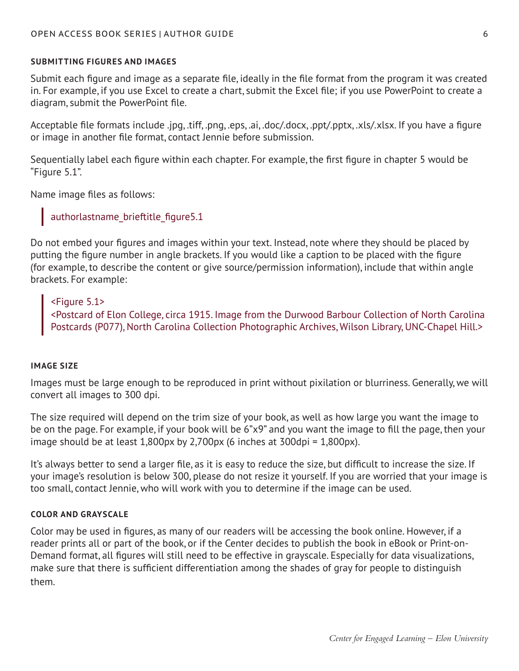#### **SUBMITTING FIGURES AND IMAGES**

Submit each figure and image as a separate file, ideally in the file format from the program it was created in. For example, if you use Excel to create a chart, submit the Excel file; if you use PowerPoint to create a diagram, submit the PowerPoint file.

Acceptable file formats include .jpg, .tiff, .png, .eps, .ai, .doc/.docx, .ppt/.pptx, .xls/.xlsx. If you have a figure or image in another file format, contact Jennie before submission.

Sequentially label each figure within each chapter. For example, the first figure in chapter 5 would be "Figure 5.1".

Name image files as follows:

## authorlastname\_brieftitle\_figure5.1

Do not embed your figures and images within your text. Instead, note where they should be placed by putting the figure number in angle brackets. If you would like a caption to be placed with the figure (for example, to describe the content or give source/permission information), include that within angle brackets. For example:

#### <Figure 5.1>

<Postcard of Elon College, circa 1915. Image from the Durwood Barbour Collection of North Carolina Postcards (P077), North Carolina Collection Photographic Archives, Wilson Library, UNC-Chapel Hill.>

#### **IMAGE SIZE**

Images must be large enough to be reproduced in print without pixilation or blurriness. Generally, we will convert all images to 300 dpi.

The size required will depend on the trim size of your book, as well as how large you want the image to be on the page. For example, if your book will be 6"x9" and you want the image to fill the page, then your image should be at least  $1,800px$  by  $2,700px$  (6 inches at  $300dpi = 1,800px$ ).

It's always better to send a larger file, as it is easy to reduce the size, but difficult to increase the size. If your image's resolution is below 300, please do not resize it yourself. If you are worried that your image is too small, contact Jennie, who will work with you to determine if the image can be used.

#### **COLOR AND GRAYSCALE**

Color may be used in figures, as many of our readers will be accessing the book online. However, if a reader prints all or part of the book, or if the Center decides to publish the book in eBook or Print-on-Demand format, all figures will still need to be effective in grayscale. Especially for data visualizations, make sure that there is sufficient differentiation among the shades of gray for people to distinguish them.